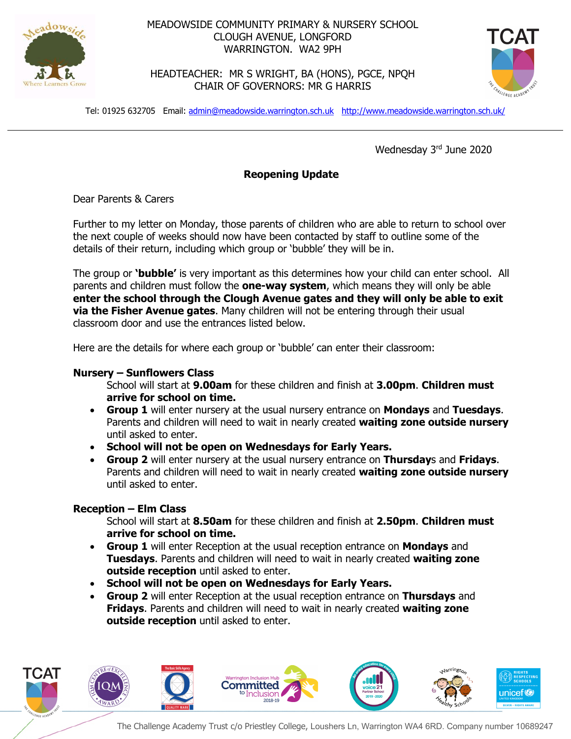

## MEADOWSIDE COMMUNITY PRIMARY & NURSERY SCHOOL CLOUGH AVENUE, LONGFORD WARRINGTON. WA2 9PH

HEADTEACHER: MR S WRIGHT, BA (HONS), PGCE, NPQH CHAIR OF GOVERNORS: MR G HARRIS



Tel: 01925 632705 Email: admin@meadowside.warrington.sch.uk http://www.meadowside.warrington.sch.uk/

Wednesday 3rd June 2020

# **Reopening Update**

Dear Parents & Carers

Further to my letter on Monday, those parents of children who are able to return to school over the next couple of weeks should now have been contacted by staff to outline some of the details of their return, including which group or 'bubble' they will be in.

The group or **'bubble'** is very important as this determines how your child can enter school. All parents and children must follow the **one-way system**, which means they will only be able **enter the school through the Clough Avenue gates and they will only be able to exit via the Fisher Avenue gates**. Many children will not be entering through their usual classroom door and use the entrances listed below.

Here are the details for where each group or 'bubble' can enter their classroom:

#### **Nursery – Sunflowers Class**

School will start at **9.00am** for these children and finish at **3.00pm**. **Children must arrive for school on time.**

- **Group 1** will enter nursery at the usual nursery entrance on **Mondays** and **Tuesdays**. Parents and children will need to wait in nearly created **waiting zone outside nursery** until asked to enter.
- **School will not be open on Wednesdays for Early Years.**
- **Group 2** will enter nursery at the usual nursery entrance on **Thursday**s and **Fridays**. Parents and children will need to wait in nearly created **waiting zone outside nursery** until asked to enter.

#### **Reception – Elm Class**

School will start at **8.50am** for these children and finish at **2.50pm**. **Children must arrive for school on time.**

- **Group 1** will enter Reception at the usual reception entrance on **Mondays** and **Tuesdays**. Parents and children will need to wait in nearly created **waiting zone outside reception** until asked to enter.
- **School will not be open on Wednesdays for Early Years.**
- **Group 2** will enter Reception at the usual reception entrance on **Thursdays** and **Fridays**. Parents and children will need to wait in nearly created **waiting zone outside reception** until asked to enter.

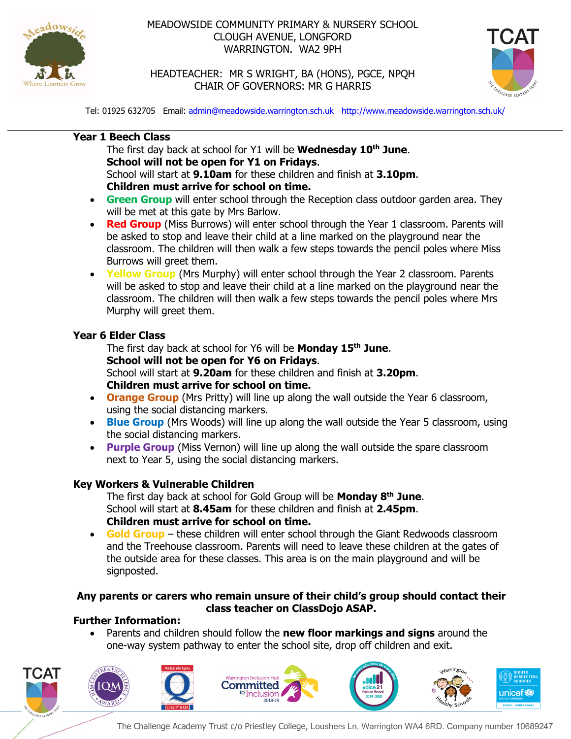

# MEADOWSIDE COMMUNITY PRIMARY & NURSERY SCHOOL CLOUGH AVENUE, LONGFORD WARRINGTON. WA2 9PH



HEADTEACHER: MR S WRIGHT, BA (HONS), PGCE, NPQH CHAIR OF GOVERNORS: MR G HARRIS

Tel: 01925 632705 Email: admin@meadowside.warrington.sch.uk http://www.meadowside.warrington.sch.uk/

# **Year 1 Beech Class**

The first day back at school for Y1 will be **Wednesday 10th June**. **School will not be open for Y1 on Fridays**. School will start at **9.10am** for these children and finish at **3.10pm**. **Children must arrive for school on time.**

- **Green Group** will enter school through the Reception class outdoor garden area. They will be met at this gate by Mrs Barlow.
- **Red Group** (Miss Burrows) will enter school through the Year 1 classroom. Parents will be asked to stop and leave their child at a line marked on the playground near the classroom. The children will then walk a few steps towards the pencil poles where Miss Burrows will greet them.
- **Yellow Group** (Mrs Murphy) will enter school through the Year 2 classroom. Parents will be asked to stop and leave their child at a line marked on the playground near the classroom. The children will then walk a few steps towards the pencil poles where Mrs Murphy will greet them.

### **Year 6 Elder Class**

The first day back at school for Y6 will be **Monday 15th June**. **School will not be open for Y6 on Fridays**. School will start at **9.20am** for these children and finish at **3.20pm**. **Children must arrive for school on time.**

- **Orange Group** (Mrs Pritty) will line up along the wall outside the Year 6 classroom, using the social distancing markers.
- **Blue Group** (Mrs Woods) will line up along the wall outside the Year 5 classroom, using the social distancing markers.
- **Purple Group** (Miss Vernon) will line up along the wall outside the spare classroom next to Year 5, using the social distancing markers.

# **Key Workers & Vulnerable Children**

The first day back at school for Gold Group will be **Monday 8th June**. School will start at **8.45am** for these children and finish at **2.45pm**. **Children must arrive for school on time.**

• **Gold Group** – these children will enter school through the Giant Redwoods classroom and the Treehouse classroom. Parents will need to leave these children at the gates of the outside area for these classes. This area is on the main playground and will be signposted.

# **Any parents or carers who remain unsure of their child's group should contact their class teacher on ClassDojo ASAP.**

# **Further Information:**

• Parents and children should follow the **new floor markings and signs** around the one-way system pathway to enter the school site, drop off children and exit.



The Challenge Academy Trust c/o Priestley College, Loushers Ln, Warrington WA4 6RD. Company number 10689247